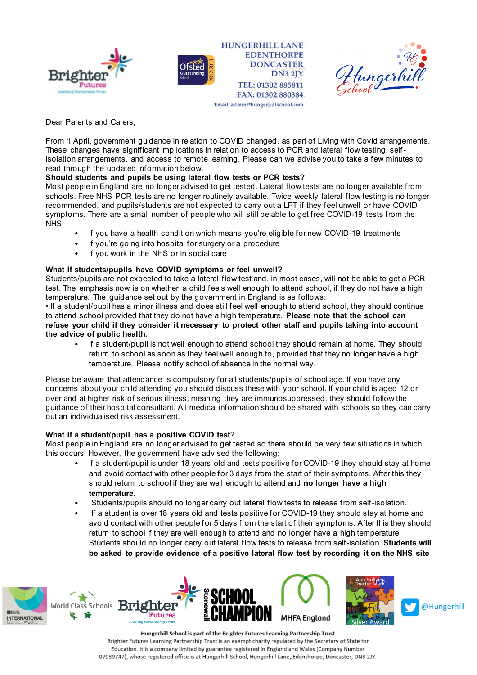



**HUNGERHILL LANE EDENTHORPE DONCASTER DN3 2JY** TEL: 01302 885811 FAX: 01302 880384 Email: admin@hungerhillschool.com



Dear Parents and Carers,

From 1 April, government guidance in relation to COVID changed, as part of Living with Covid arrangements. These changes have significant implications in relation to access to PCR and lateral flow testing, selfisolation arrangements, and access to remote learning. Please can we advise you to take a few minutes to read through the updated information below.

## **Should students and pupils be using lateral flow tests or PCR tests?**

Most people in England are no longer advised to get tested. Lateral flow tests are no longer available from schools. Free NHS PCR tests are no longer routinely available. Twice weekly lateral flow testing is no longer recommended, and pupils/students are not expected to carry out a LFT if they feel unwell or have COVID symptoms. There are a small number of people who will still be able to get free COVID-19 tests from the NHS:

- If you have a health condition which means you're eligible for new COVID-19 treatments
- If you're going into hospital for surgery or a procedure
- If you work in the NHS or in social care

# **What if students/pupils have COVID symptoms or feel unwell?**

Students/pupils are not expected to take a lateral flow test and, in most cases, will not be able to get a PCR test. The emphasis now is on whether a child feels well enough to attend school, if they do not have a high temperature. The guidance set out by the government in England is as follows:

• If a student/pupil has a minor illness and does still feel well enough to attend school, they should continue to attend school provided that they do not have a high temperature. **Please note that the school can refuse your child if they consider it necessary to protect other staff and pupils taking into account the advice of public health.**

• If a student/pupil is not well enough to attend school they should remain at home. They should return to school as soon as they feel well enough to, provided that they no longer have a high temperature. Please notify school of absence in the normal way.

Please be aware that attendance is compulsory for all students/pupils of school age. If you have any concerns about your child attending you should discuss these with your school. If your child is aged 12 or over and at higher risk of serious illness, meaning they are immunosuppressed, they should follow the guidance of their hospital consultant. All medical information should be shared with schools so they can carry out an individualised risk assessment.

## **What if a student/pupil has a positive COVID test**?

Most people in England are no longer advised to get tested so there should be very few situations in which this occurs. However, the government have advised the following:

- If a student/pupil is under 18 years old and tests positive for COVID-19 they should stay at home and avoid contact with other people for 3 days from the start of their symptoms. After this they should return to school if they are well enough to attend and **no longer have a high temperature**.
- Students/pupils should no longer carry out lateral flow tests to release from self-isolation.
- If a student is over 18 years old and tests positive for COVID-19 they should stay at home and avoid contact with other people for 5 days from the start of their symptoms. After this they should return to school if they are well enough to attend and no longer have a high temperature. Students should no longer carry out lateral flow tests to release from self-isolation. **Students will be asked to provide evidence of a positive lateral flow test by recording it on the NHS site**







Hungerhill School is part of the Brighter Futures Learning Partnership Trust Brighter Futures Learning Partnership Trust is an exempt charity regulated by the Secretary of State for Education. It is a company limited by guarantee registered in England and Wales (Company Number 07939747), whose registered office is at Hungerhill School, Hungerhill Lane, Edenthorpe, Doncaster, DN3 2JY.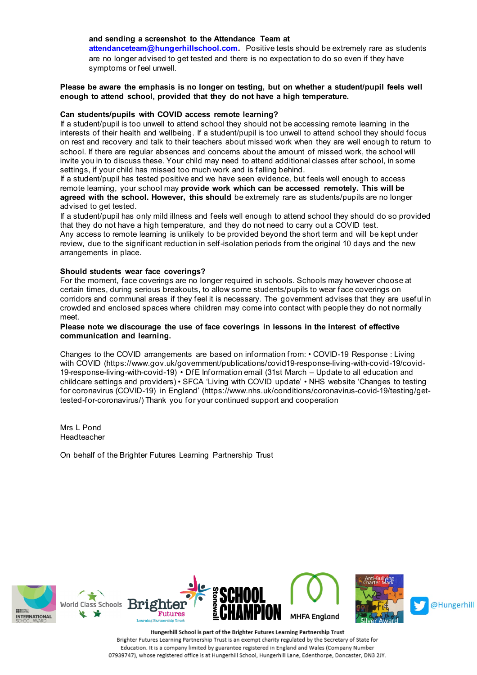#### **and sending a screenshot to the Attendance Team at**

**[attendanceteam@hungerhillschool.com.](mailto:attendanceteam@hungerhillschool.com)** Positive tests should be extremely rare as students are no longer advised to get tested and there is no expectation to do so even if they have symptoms or feel unwell.

### **Please be aware the emphasis is no longer on testing, but on whether a student/pupil feels well enough to attend school, provided that they do not have a high temperature.**

#### **Can students/pupils with COVID access remote learning?**

If a student/pupil is too unwell to attend school they should not be accessing remote learning in the interests of their health and wellbeing. If a student/pupil is too unwell to attend school they should focus on rest and recovery and talk to their teachers about missed work when they are well enough to return to school. If there are regular absences and concerns about the amount of missed work, the school will invite you in to discuss these. Your child may need to attend additional classes after school, in some settings, if your child has missed too much work and is falling behind.

If a student/pupil has tested positive and we have seen evidence, but feels well enough to access remote learning, your school may **provide work which can be accessed remotely. This will be agreed with the school. However, this should** be extremely rare as students/pupils are no longer advised to get tested.

If a student/pupil has only mild illness and feels well enough to attend school they should do so provided that they do not have a high temperature, and they do not need to carry out a COVID test. Any access to remote learning is unlikely to be provided beyond the short term and will be kept under review, due to the significant reduction in self-isolation periods from the original 10 days and the new arrangements in place.

#### **Should students wear face coverings?**

For the moment, face coverings are no longer required in schools. Schools may however choose at certain times, during serious breakouts, to allow some students/pupils to wear face coverings on corridors and communal areas if they feel it is necessary. The government advises that they are useful in crowded and enclosed spaces where children may come into contact with people they do not normally meet.

### **Please note we discourage the use of face coverings in lessons in the interest of effective communication and learning.**

Changes to the COVID arrangements are based on information from: • COVID-19 Response : Living with COVID (https://www.gov.uk/government/publications/covid19-response-living-with-covid-19/covid-19-response-living-with-covid-19) • DfE Information email (31st March – Update to all education and childcare settings and providers) • SFCA 'Living with COVID update' • NHS website 'Changes to testing for coronavirus (COVID-19) in England' (https://www.nhs.uk/conditions/coronavirus-covid-19/testing/gettested-for-coronavirus/) Thank you for your continued support and cooperation

Mrs L Pond Headteacher

On behalf of the Brighter Futures Learning Partnership Trust



Hungerhill School is part of the Brighter Futures Learning Partnership Trust Brighter Futures Learning Partnership Trust is an exempt charity regulated by the Secretary of State for Education. It is a company limited by guarantee registered in England and Wales (Company Number 07939747), whose registered office is at Hungerhill School, Hungerhill Lane, Edenthorpe, Doncaster, DN3 2JY.